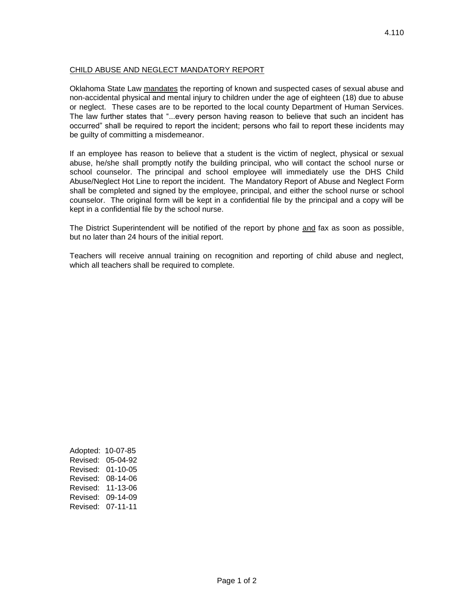## CHILD ABUSE AND NEGLECT MANDATORY REPORT

Oklahoma State Law mandates the reporting of known and suspected cases of sexual abuse and non-accidental physical and mental injury to children under the age of eighteen (18) due to abuse or neglect. These cases are to be reported to the local county Department of Human Services. The law further states that "...every person having reason to believe that such an incident has occurred" shall be required to report the incident; persons who fail to report these incidents may be guilty of committing a misdemeanor.

If an employee has reason to believe that a student is the victim of neglect, physical or sexual abuse, he/she shall promptly notify the building principal, who will contact the school nurse or school counselor. The principal and school employee will immediately use the DHS Child Abuse/Neglect Hot Line to report the incident. The Mandatory Report of Abuse and Neglect Form shall be completed and signed by the employee, principal, and either the school nurse or school counselor. The original form will be kept in a confidential file by the principal and a copy will be kept in a confidential file by the school nurse.

The District Superintendent will be notified of the report by phone and fax as soon as possible, but no later than 24 hours of the initial report.

Teachers will receive annual training on recognition and reporting of child abuse and neglect, which all teachers shall be required to complete.

Adopted: 10-07-85 Revised: 05-04-92 Revised: 01-10-05 Revised: 08-14-06 Revised: 11-13-06 Revised: 09-14-09 Revised: 07-11-11